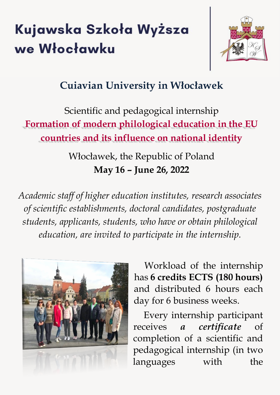# Kujawska Szkoła Wyższa we Włocławku



# **Cuiavian University in Włocławek**

# Scientific and pedagogical internship **Formation of modern philological education in the EU countries and its influence on national identity**

Włocławek, the Republic of Poland **May 16 – June 26, 2022**

*Academic staff of higher education institutes, research associates of scientific establishments, doctoral candidates, postgraduate students, applicants, students, who have or obtain philological education, are invited to participate in the internship.*



Workload of the internship has **6 credits ECTS (180 hours)** and distributed 6 hours each day for 6 business weeks.

Every internship participant receives *a certificate* of completion of a scientific and pedagogical internship (in two languages with the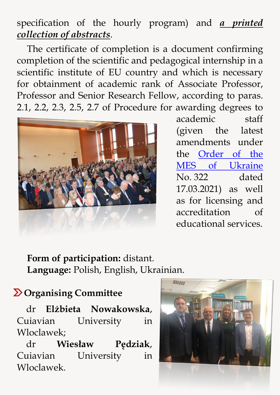## specification of the hourly program) and *a printed collection of abstracts*.

The certificate of completion is a document confirming completion of the scientific and pedagogical internship in a scientific institute of EU country and which is necessary for obtainment of academic rank of Associate Professor, Professor and Senior Research Fellow, according to paras. 2.1, 2.2, 2.3, 2.5, 2.7 of Procedure for awarding degrees to



academic staff (given the latest amendments under the [Order of the](https://zakon.rada.gov.ua/laws/show/z0646-21#n2)  [MES of Ukraine](https://zakon.rada.gov.ua/laws/show/z0646-21#n2) No. 322 dated 17.03.2021) as well as for licensing and accreditation of educational services.

**Form of participation:** distant. **Language:** Polish, English, Ukrainian.

#### **Organising Committee**

dr **Elżbieta Nowakowska**, Cuiavian University in Wloclawek;

dr **Wiesław Pędziak**, Cuiavian University in Wloclawek.

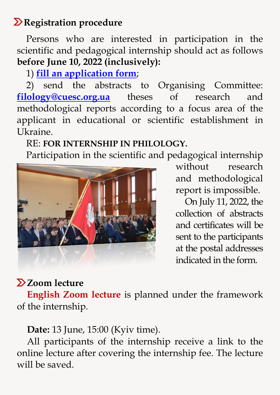## *Registration procedure*

Persons who are interested in participation in the scientific and pedagogical internship should act as follows **before June 10, 2022 (inclusively):**

1) **[fill an application form](https://docs.google.com/forms/d/e/1FAIpQLSd63annAM0fc2QV63skgdh90JYKqE5iFDBcVOMNdetm-uTSwA/viewform)**;

2) send the abstracts to Organising Committee: **[filology@cuesc.org.ua](mailto:filology@cuesc.org.ua)** theses of research and methodological reports according to a focus area of the applicant in educational or scientific establishment in Ukraine.

#### RE: **FOR INTERNSHIP IN PHILOLOGY.**

Participation in the scientific and pedagogical internship



without research and methodological report is impossible.

On July 11, 2022, the collection of abstracts and certificates will be sent to the participants at the postal addresses indicated in the form.

## **Z** Zoom lecture

**English Zoom lecture** is planned under the framework of the internship.

**Date:** 13 June, 15:00 (Kyiv time).

All participants of the internship receive a link to the online lecture after covering the internship fee. The lecture will be saved.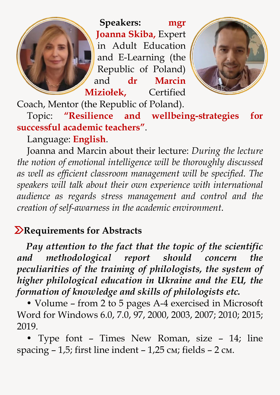**Speakers: mgr Joanna Skiba,** Expert in Adult Education and E-Learning (the Republic of Poland) and **dr Marcin Miziołek,** Certified



Coach, Mentor (the Republic of Poland).

Topic: **"Resilience and wellbeing-strategies for successful academic teachers"**.

Language: **English**.

Joanna and Marcin about their lecture: *During the lecture the notion of emotional intelligence will be thoroughly discussed as well as efficient classroom management will be specified. The speakers will talk about their own experience with international audience as regards stress management and control and the creation of self-awarness in the academic environment*.

### *Requirements for Abstracts*

*Pay attention to the fact that the topic of the scientific and methodological report should concern the peculiarities of the training of philologists, the system of higher philological education in Ukraine and the EU, the formation of knowledge and skills of philologists etc.*

• Volume – from 2 to 5 pages A-4 exercised in Microsoft Word for Windows 6.0, 7.0, 97, 2000, 2003, 2007; 2010; 2015; 2019.

• Type font – Times New Roman, size – 14; line spacing  $-1,5$ ; first line indent  $-1,25$  cm; fields  $-2$  cm.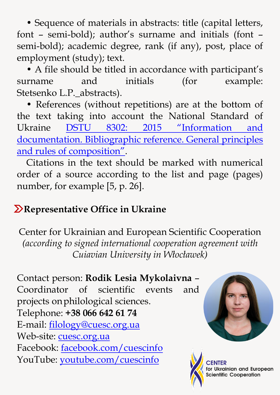• Sequence of materials in abstracts: title (capital letters, font – semi-bold); author's surname and initials (font – semi-bold); academic degree, rank (if any), post, place of employment (study); text.

• A file should be titled in accordance with participant's surname and initials (for example: Stetsenko L.P.\_abstracts).

• References (without repetitions) are at the bottom of the text taking into account the National Standard of Ukraine [DSTU 8302: 2015 "Infor](https://cuesc.org.ua/bibl.pdf)mation and [documentation. Bibliographic reference. General principles](https://cuesc.org.ua/bibl.pdf)  [and rules of composition".](https://cuesc.org.ua/bibl.pdf)

Citations in the text should be marked with numerical order of a source according to the list and page (pages) number, for example [5, p. 26].

### **Representative Office in Ukraine**

Center for Ukrainian and European Scientific Cooperation *(according to signed international cooperation agreement with Cuiavian University in Włocławek)*

Contact person: **Rodik Lesia Mykolaivna** – Coordinator of scientific events and projects onphilological sciences. Telephone: **+38 066 642 61 74** E-mail: [filology@cuesc.org.ua](mailto:filology@cuesc.org.ua) Web-site: [cuesc.org.ua](http://www.cuesc.org.ua/) Facebook: [facebook.com/cuescinfo](https://www.facebook.com/cuescinfo/) YouTube: [youtube.com/cuescinfo](https://www.youtube.com/channel/UCL1F1ZKD05uKqu8RI7-bHJA)